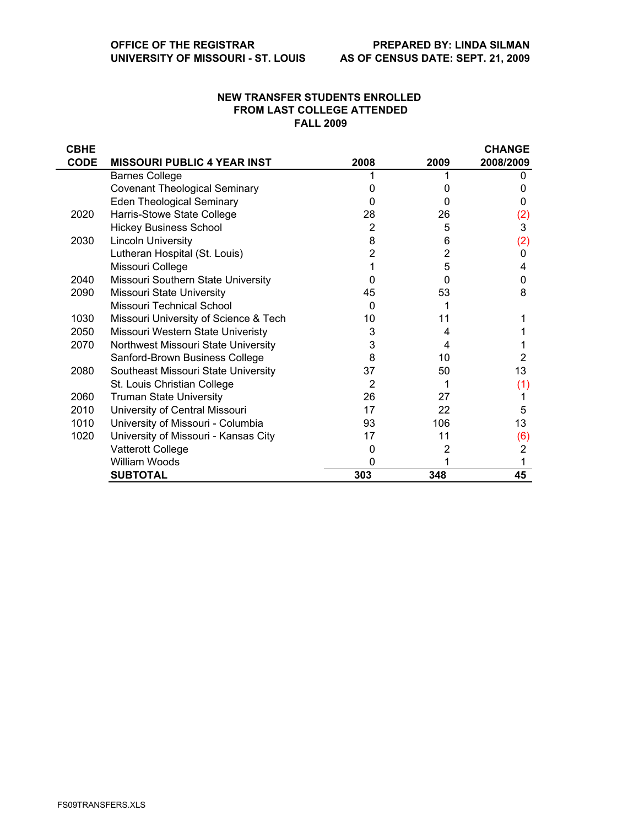## **NEW TRANSFER STUDENTS ENROLLED FROM LAST COLLEGE ATTENDED FALL 2009**

| <b>CBHE</b> |                                       |      |      | <b>CHANGE</b> |
|-------------|---------------------------------------|------|------|---------------|
| <b>CODE</b> | <b>MISSOURI PUBLIC 4 YEAR INST</b>    | 2008 | 2009 | 2008/2009     |
|             | <b>Barnes College</b>                 |      |      |               |
|             | <b>Covenant Theological Seminary</b>  |      |      | 0             |
|             | <b>Eden Theological Seminary</b>      | 0    | 0    | 0             |
| 2020        | Harris-Stowe State College            | 28   | 26   | (2)           |
|             | <b>Hickey Business School</b>         | 2    | 5    | 3             |
| 2030        | <b>Lincoln University</b>             | 8    | 6    | (2)           |
|             | Lutheran Hospital (St. Louis)         |      | 2    | 0             |
|             | Missouri College                      |      | 5    | 4             |
| 2040        | Missouri Southern State University    | O    | 0    | 0             |
| 2090        | Missouri State University             | 45   | 53   | 8             |
|             | Missouri Technical School             | 0    |      |               |
| 1030        | Missouri University of Science & Tech | 10   | 11   |               |
| 2050        | Missouri Western State Univeristy     | 3    | 4    |               |
| 2070        | Northwest Missouri State University   | 3    | 4    |               |
|             | Sanford-Brown Business College        | 8    | 10   | 2             |
| 2080        | Southeast Missouri State University   | 37   | 50   | 13            |
|             | St. Louis Christian College           | 2    |      | (1)           |
| 2060        | <b>Truman State University</b>        | 26   | 27   |               |
| 2010        | University of Central Missouri        | 17   | 22   | 5             |
| 1010        | University of Missouri - Columbia     | 93   | 106  | 13            |
| 1020        | University of Missouri - Kansas City  | 17   | 11   | (6)           |
|             | Vatterott College                     | 0    | 2    | 2             |
|             | William Woods                         | O    |      |               |
|             | <b>SUBTOTAL</b>                       | 303  | 348  | 45            |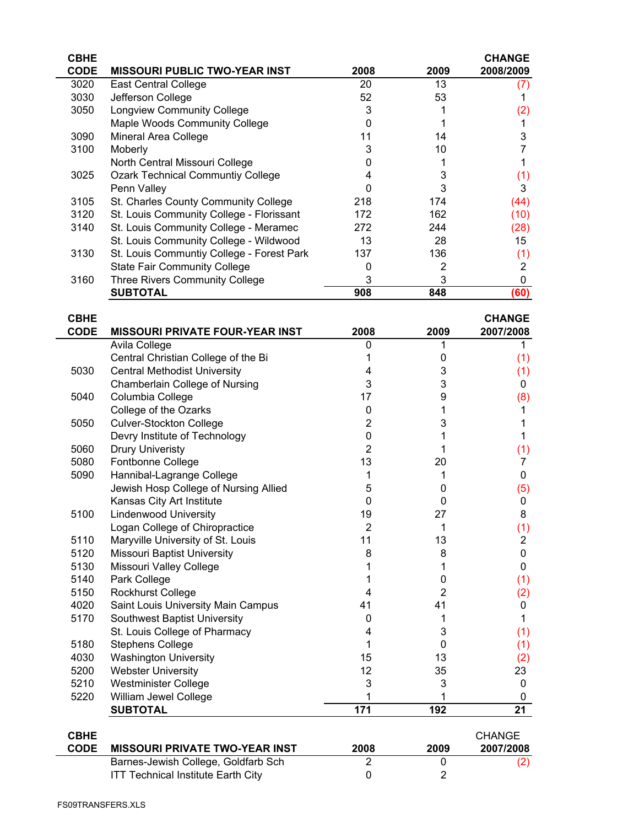| <b>CBHE</b> |                                           |      |      | <b>CHANGE</b> |
|-------------|-------------------------------------------|------|------|---------------|
| <b>CODE</b> | <b>MISSOURI PUBLIC TWO-YEAR INST</b>      | 2008 | 2009 | 2008/2009     |
| 3020        | <b>East Central College</b>               | 20   | 13   | (7)           |
| 3030        | Jefferson College                         | 52   | 53   |               |
| 3050        | <b>Longview Community College</b>         | 3    |      | (2)           |
|             | Maple Woods Community College             |      |      |               |
| 3090        | Mineral Area College                      | 11   | 14   | 3             |
| 3100        | Moberly                                   | 3    | 10   |               |
|             | North Central Missouri College            |      |      |               |
| 3025        | <b>Ozark Technical Communtiy College</b>  | 4    | 3    | (1)           |
|             | Penn Valley                               |      | 3    | 3             |
| 3105        | St. Charles County Community College      | 218  | 174  | (44)          |
| 3120        | St. Louis Community College - Florissant  | 172  | 162  | (10)          |
| 3140        | St. Louis Community College - Meramec     | 272  | 244  | (28)          |
|             | St. Louis Community College - Wildwood    | 13   | 28   | 15            |
| 3130        | St. Louis Communtiy College - Forest Park | 137  | 136  | (1)           |
|             | <b>State Fair Community College</b>       |      | 2    | 2             |
| 3160        | Three Rivers Community College            | 3    | 3    | 0             |
|             | <b>SUBTOTAL</b>                           | 908  | 848  | (60)          |

| <b>CBHE</b> |                                        |                     |                | <b>CHANGE</b>  |
|-------------|----------------------------------------|---------------------|----------------|----------------|
| <b>CODE</b> | <b>MISSOURI PRIVATE FOUR-YEAR INST</b> | 2008                | 2009           | 2007/2008      |
|             | Avila College                          | $\Omega$            |                | 1.             |
|             | Central Christian College of the Bi    |                     | 0              | (1)            |
| 5030        | <b>Central Methodist University</b>    | 4                   | 3              | (1)            |
|             | Chamberlain College of Nursing         | 3                   | 3              | 0              |
| 5040        | Columbia College                       | 17                  | 9              | (8)            |
|             | College of the Ozarks                  | 0                   |                | 1              |
| 5050        | <b>Culver-Stockton College</b>         | 2                   | 3              |                |
|             | Devry Institute of Technology          | 0                   |                | 1              |
| 5060        | <b>Drury Univeristy</b>                | 2                   |                | (1)            |
| 5080        | Fontbonne College                      | 13                  | 20             | 7              |
| 5090        | Hannibal-Lagrange College              |                     |                | 0              |
|             | Jewish Hosp College of Nursing Allied  | 5                   | 0              | (5)            |
|             | Kansas City Art Institute              | $\Omega$            | $\Omega$       | 0              |
| 5100        | <b>Lindenwood University</b>           | 19                  | 27             | 8              |
|             | Logan College of Chiropractice         | $\overline{2}$<br>1 | (1)            |                |
| 5110        | Maryville University of St. Louis      | 11                  | 13             | $\overline{2}$ |
| 5120        | <b>Missouri Baptist University</b>     | 8                   | 8              | $\mathbf 0$    |
| 5130        | Missouri Valley College                |                     | 1              | 0              |
| 5140        | Park College                           |                     | 0              | (1)            |
| 5150        | <b>Rockhurst College</b>               | 4                   | $\overline{2}$ | (2)            |
| 4020        | Saint Louis University Main Campus     | 41                  | 41             | 0              |
| 5170        | Southwest Baptist University           | 0                   |                | 1              |
|             | St. Louis College of Pharmacy          | 4                   | 3              | (1)            |
| 5180        | <b>Stephens College</b>                |                     | 0              | (1)            |
| 4030        | <b>Washington University</b>           | 15                  | 13             | (2)            |
| 5200        | <b>Webster University</b>              | 12                  | 35             | 23             |
| 5210        | <b>Westminister College</b>            | 3                   | 3              | 0              |
| 5220        | William Jewel College                  |                     |                | 0              |
|             | <b>SUBTOTAL</b>                        | 171                 | 192            | 21             |
|             |                                        |                     |                |                |
| <b>CBHE</b> |                                        |                     |                | <b>CHANGE</b>  |
|             |                                        | nnnn                | 0000           | 000710         |

| <b>CODE</b> | <b>MISSOURI PRIVATE TWO-YEAR INST</b>     | 2008 | 2009 | 2007/2008 |
|-------------|-------------------------------------------|------|------|-----------|
|             | Barnes-Jewish College, Goldfarb Sch       |      |      | (2)       |
|             | <b>ITT Technical Institute Earth City</b> |      |      |           |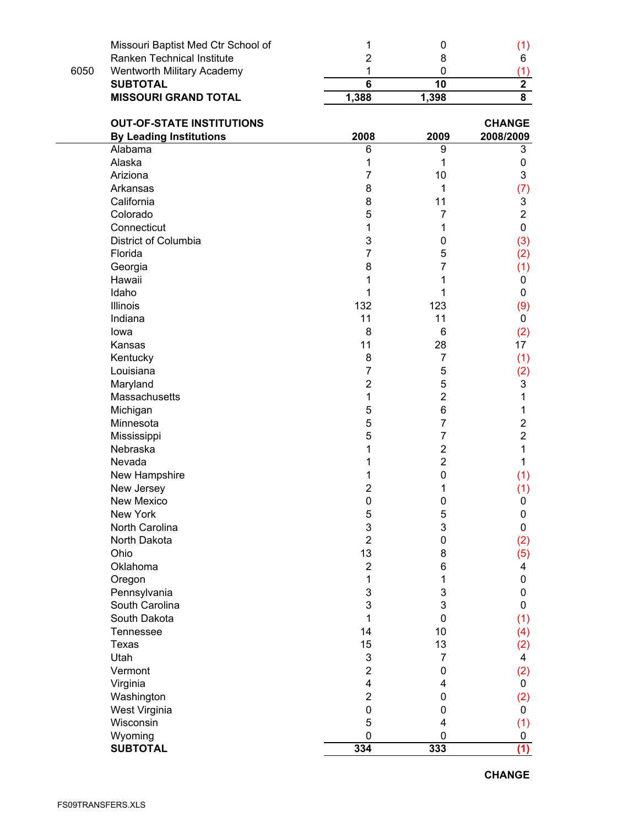|      | Missouri Baptist Med Ctr School of | 1                       | $\boldsymbol{0}$ | (1)                     |
|------|------------------------------------|-------------------------|------------------|-------------------------|
|      | Ranken Technical Institute         | 2                       | 8                | 6                       |
| 6050 | Wentworth Military Academy         | 1                       | 0                | (1)                     |
|      | <b>SUBTOTAL</b>                    | $\overline{\mathbf{6}}$ | $\overline{10}$  | $\overline{2}$          |
|      | <b>MISSOURI GRAND TOTAL</b>        | 1,388                   | 1,398            | $\overline{\mathbf{8}}$ |
|      | <b>OUT-OF-STATE INSTITUTIONS</b>   |                         |                  | <b>CHANGE</b>           |
|      | <b>By Leading Institutions</b>     | 2008                    | 2009             | 2008/2009               |
|      | Alabama                            | 6                       | 9                | 3                       |
|      | Alaska                             | 1                       | 1                | 0                       |
|      | Ariziona                           | 7                       | 10               | 3                       |
|      | Arkansas                           | 8                       | 1                | (7)                     |
|      | California                         | 8                       | 11               | 3                       |
|      | Colorado                           | 5                       | 7                | $\overline{2}$          |
|      | Connecticut                        | 1                       | 1                | 0                       |
|      | District of Columbia               | 3                       | 0                | (3)                     |
|      | Florida                            | 7                       | 5                | (2)                     |
|      | Georgia                            | 8                       | 7                | (1)                     |
|      | Hawaii                             | 1                       | 1                | 0                       |
|      | Idaho                              | 1                       |                  | 0                       |
|      | <b>Illinois</b>                    | 132                     | 123              | (9)                     |
|      | Indiana                            | 11                      | 11               | 0                       |
|      | lowa                               | 8                       | 6                | (2)                     |
|      | Kansas                             | 11                      | 28               | 17                      |
|      | Kentucky                           | 8                       | $\overline{7}$   | (1)                     |
|      | Louisiana                          | 7                       | 5                | (2)                     |
|      | Maryland                           | $\mathbf{2}$            | 5                | 3                       |
|      | Massachusetts                      | 1                       | $\overline{2}$   | 1                       |
|      | Michigan                           | 5                       | 6                | 1                       |
|      | Minnesota                          | 5                       | 7                | $\overline{2}$          |
|      | Mississippi                        | 5                       | 7                | $\overline{2}$          |
|      | Nebraska                           | 1                       | $\overline{2}$   | 1                       |
|      | Nevada                             | 1                       | $\overline{2}$   | 1                       |
|      | New Hampshire                      | 1                       | $\mathbf 0$      | (1)                     |
|      | New Jersey                         | 2                       | 1                | (1)                     |
|      | New Mexico                         | 0                       | $\mathbf 0$      | 0                       |
|      | New York                           | 5                       | 5                | 0                       |
|      | North Carolina                     | 3                       | 3                | 0                       |
|      | North Dakota                       | $\mathbf{2}$            | 0                | (2)                     |
|      | Ohio                               | 13                      | 8                | (5)                     |
|      | Oklahoma                           | $\mathbf{2}$            | 6                | 4                       |
|      | Oregon                             | 1                       | 1                | 0                       |
|      | Pennsylvania                       | 3                       | 3                | 0                       |
|      | South Carolina                     | 3                       | 3                | 0                       |
|      | South Dakota                       | 1                       | $\mathbf 0$      | (1)                     |
|      | <b>Tennessee</b>                   | 14                      | 10               | (4)                     |
|      | Texas                              | 15                      | 13               | (2)                     |
|      | Utah                               | 3                       | 7                | 4                       |
|      | Vermont                            | $\overline{2}$          | 0                | (2)                     |
|      | Virginia                           | 4                       | 4                | 0                       |
|      | Washington                         | $\overline{2}$          | 0                | (2)                     |
|      | West Virginia                      | $\mathsf{O}\xspace$     | 0                | 0                       |
|      | Wisconsin                          | 5                       | 4                | (1)                     |
|      | Wyoming                            | 0                       | 0                | 0                       |
|      | <b>SUBTOTAL</b>                    | 334                     | 333              | (1)                     |

**CHANGE**